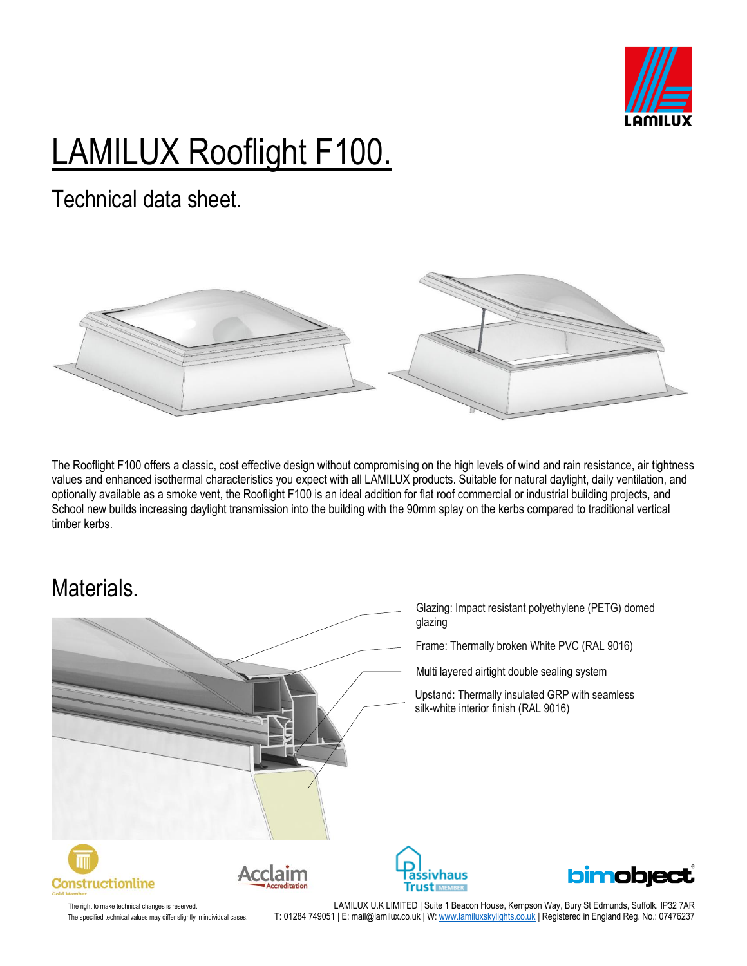

# LAMILUX Rooflight F100.

Technical data sheet.



The Rooflight F100 offers a classic, cost effective design without compromising on the high levels of wind and rain resistance, air tightness values and enhanced isothermal characteristics you expect with all LAMILUX products. Suitable for natural daylight, daily ventilation, and optionally available as a smoke vent, the Rooflight F100 is an ideal addition for flat roof commercial or industrial building projects, and School new builds increasing daylight transmission into the building with the 90mm splay on the kerbs compared to traditional vertical timber kerbs.

#### Materials.



The right to make technical changes is reserved. The served. The state of the CHMILUX U.K LIMITED | Suite 1 Beacon House, Kempson Way, Bury St Edmunds, Suffolk. IP32 7AR The specified technical values may differ slightly in individual cases. T: 01284 749051 | E: mail@lamilux.co.uk | W[: www.lamiluxskylights.co.uk](http://www.lamiluxskylights.co.uk/) | Registered in England Reg. No.: 07476237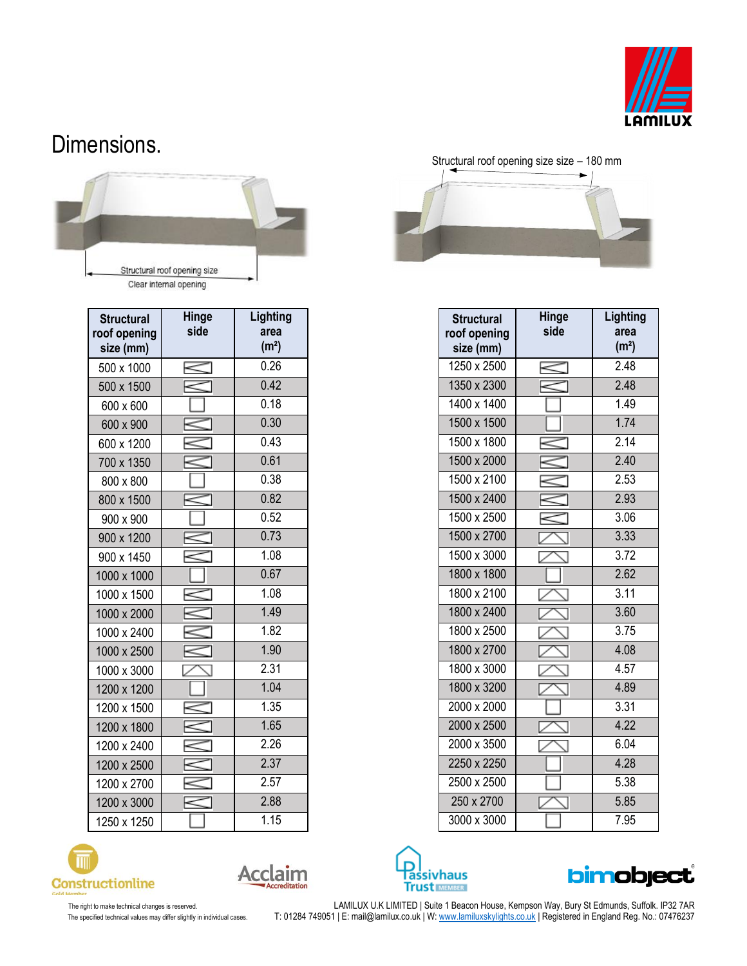

#### Dimensions.



| <b>Structural</b><br>roof opening<br>size (mm) | Hinge<br>side | Lighting<br>area<br>(m <sup>2</sup> ) | <b>Structural</b><br>roof opening<br>size (mm) | Hinge<br>side | Lighti<br>area<br>(m <sup>2</sup> ) |
|------------------------------------------------|---------------|---------------------------------------|------------------------------------------------|---------------|-------------------------------------|
| 500 x 1000                                     |               | 0.26                                  | 1250 x 2500                                    | $\,<$         | 2.48                                |
| 500 x 1500                                     |               | 0.42                                  | 1350 x 2300                                    |               | 2.48                                |
| 600 x 600                                      |               | 0.18                                  | 1400 x 1400                                    |               | 1.49                                |
| 600 x 900                                      |               | 0.30                                  | 1500 x 1500                                    |               | 1.74                                |
| 600 x 1200                                     |               | 0.43                                  | 1500 x 1800                                    |               | 2.14                                |
| 700 x 1350                                     |               | 0.61                                  | 1500 x 2000                                    |               | 2.40                                |
| 800 x 800                                      |               | 0.38                                  | 1500 x 2100                                    |               | 2.53                                |
| 800 x 1500                                     |               | 0.82                                  | 1500 x 2400                                    | $\leq$        | 2.93                                |
| 900 x 900                                      |               | 0.52                                  | 1500 x 2500                                    |               | 3.06                                |
| 900 x 1200                                     |               | 0.73                                  | 1500 x 2700                                    |               | 3.33                                |
| 900 x 1450                                     |               | 1.08                                  | 1500 x 3000                                    |               | 3.72                                |
| 1000 x 1000                                    |               | 0.67                                  | 1800 x 1800                                    |               | 2.62                                |
| 1000 x 1500                                    |               | 1.08                                  | 1800 x 2100                                    |               | 3.11                                |
| 1000 x 2000                                    |               | 1.49                                  | 1800 x 2400                                    |               | 3.60                                |
| 1000 x 2400                                    |               | 1.82                                  | 1800 x 2500                                    |               | 3.75                                |
| 1000 x 2500                                    |               | 1.90                                  | 1800 x 2700                                    |               | 4.08                                |
| 1000 x 3000                                    |               | 2.31                                  | 1800 x 3000                                    |               | 4.57                                |
| 1200 x 1200                                    |               | 1.04                                  | 1800 x 3200                                    |               | 4.89                                |
| 1200 x 1500                                    |               | 1.35                                  | 2000 x 2000                                    |               | 3.31                                |
| 1200 x 1800                                    |               | 1.65                                  | 2000 x 2500                                    |               | 4.22                                |
| 1200 x 2400                                    |               | 2.26                                  | 2000 x 3500                                    |               | 6.04                                |
| 1200 x 2500                                    | $\approx$     | 2.37                                  | 2250 x 2250                                    |               | 4.28                                |
| 1200 x 2700                                    |               | 2.57                                  | 2500 x 2500                                    |               | 5.38                                |
| 1200 x 3000                                    | $\approx$     | 2.88                                  | 250 x 2700                                     |               | 5.85                                |
| 1250 x 1250                                    |               | 1.15                                  | 3000 x 3000                                    |               | 7.95                                |







| <b>Structural</b><br>roof opening<br>size (mm) | <b>Hinge</b><br>side | Lighting<br>area<br>(m <sup>2</sup> ) |
|------------------------------------------------|----------------------|---------------------------------------|
| 1250 x 2500                                    |                      | 2.48                                  |
| 1350 x 2300                                    |                      | 2.48                                  |
| 1400 x 1400                                    |                      | 1.49                                  |
| 1500 x 1500                                    |                      | 1.74                                  |
| 1500 x 1800                                    |                      | 2.14                                  |
| 1500 x 2000                                    |                      | 2.40                                  |
| 1500 x 2100                                    |                      | 2.53                                  |
| 1500 x 2400                                    |                      | 2.93                                  |
| 1500 x 2500                                    |                      | 3.06                                  |
| 1500 x 2700                                    |                      | 3.33                                  |
| 1500 x 3000                                    |                      | 3.72                                  |
| 1800 x 1800                                    |                      | 2.62                                  |
| 1800 x 2100                                    |                      | 3.11                                  |
| 1800 x 2400                                    |                      | 3.60                                  |
| 1800 x 2500                                    |                      | 3.75                                  |
| 1800 x 2700                                    |                      | 4.08                                  |
| 1800 x 3000                                    |                      | 4.57                                  |
| 1800 x 3200                                    |                      | 4.89                                  |
| 2000 x 2000                                    |                      | 3.31                                  |
| 2000 x 2500                                    |                      | 4.22                                  |
| 2000 x 3500                                    |                      | 6.04                                  |
| 2250 x 2250                                    |                      | 4.28                                  |
| 2500 x 2500                                    |                      | 5.38                                  |
| 250 x 2700                                     |                      | 5.85                                  |
| 3000 x 3000                                    |                      | 7.95                                  |





The right to make technical changes is reserved. LAMILUX U.K LIMITED | Suite 1 Beacon House, Kempson Way, Bury St Edmunds, Suffolk. IP32 7AR The specified technical values may differ slightly in individual cases. T: 01284 749051 | E: mail@lamilux.co.uk | W: <u>www.lamiluxskylights.co.uk</u> | Registered in England Reg. No.: 07476237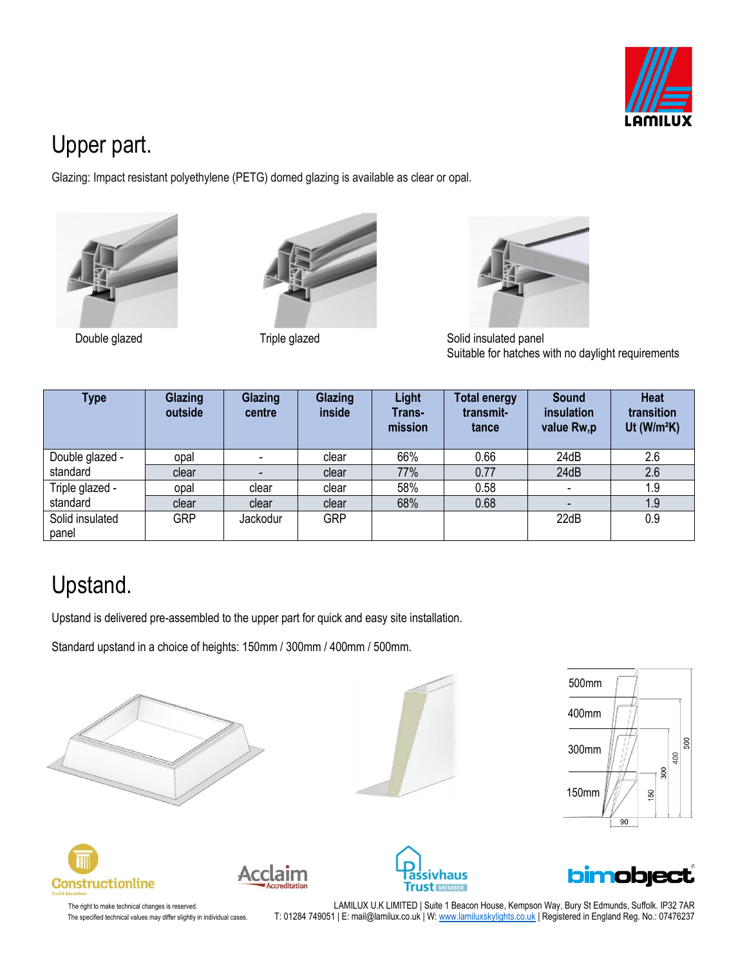

## Upper part.

Glazing: Impact resistant polyethylene (PETG) domed glazing is available as clear or opal.







Double glazed Triple glazed Solid insulated panel Suitable for hatches with no daylight requirements

| Type                        | Glazing<br>outside | Glazing<br>centre | Glazing<br>inside | <b>Light</b><br>Trans-<br>mission | <b>Total energy</b><br>transmit-<br>tance | <b>Sound</b><br>insulation<br>value Rw,p | <b>Heat</b><br>transition<br>Ut ( $W/m^2K$ ) |
|-----------------------------|--------------------|-------------------|-------------------|-----------------------------------|-------------------------------------------|------------------------------------------|----------------------------------------------|
| Double glazed -<br>standard | opal               |                   | clear             | 66%                               | 0.66                                      | 24dB                                     | 2.6                                          |
|                             | clear              |                   | clear             | 77%                               | 0.77                                      | 24dB                                     | 2.6                                          |
| Triple glazed -<br>standard | opal               | clear             | clear             | 58%                               | 0.58                                      |                                          | 1.9                                          |
|                             | clear              | clear             | clear             | 68%                               | 0.68                                      |                                          | 1.9                                          |
| Solid insulated<br>panel    | <b>GRP</b>         | Jackodur          | <b>GRP</b>        |                                   |                                           | 22dB                                     | 0.9                                          |

# Upstand.

Upstand is delivered pre-assembled to the upper part for quick and easy site installation.

Acclaim

Standard upstand in a choice of heights: 150mm / 300mm / 400mm / 500mm.













The right to make technical changes is reserved. LAMILUX U.K LIMITED | Suite 1 Beacon House, Kempson Way, Bury St Edmunds, Suffolk. IP32 7AR The specified technical values may differ slightly in individual cases. T: 01284 749051 | E: mail@lamilux.co.uk | W: <u>www.lamiluxskylights.co.uk</u> | Registered in England Reg. No.: 07476237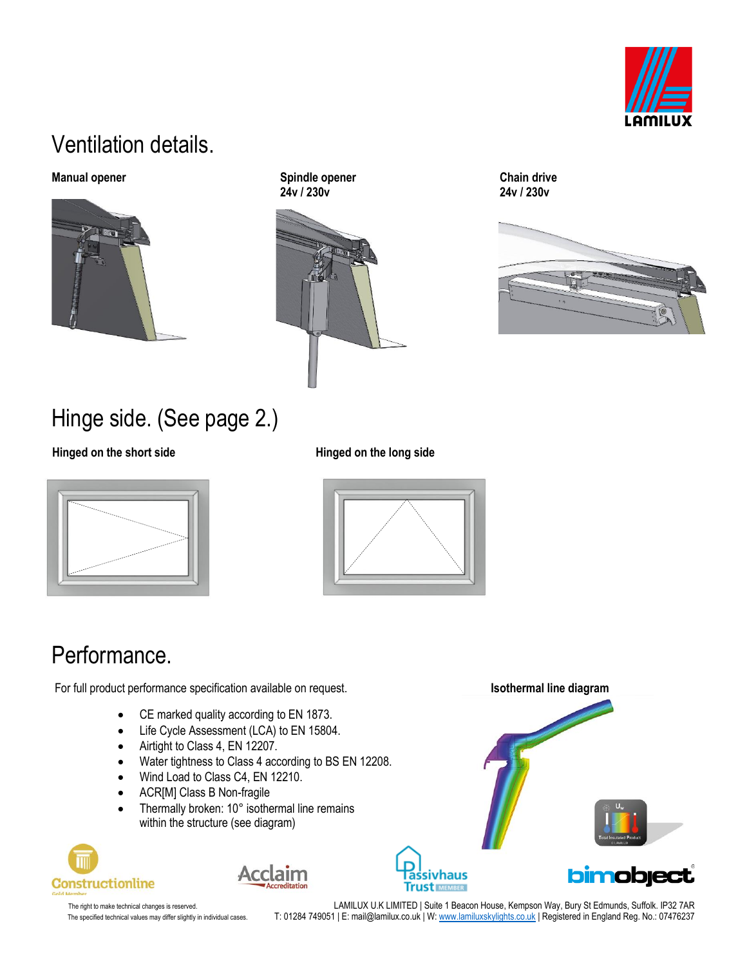

### Ventilation details.



**Manual opener** Chain Chain Chain Chain Chain Chain Chain drive  **24v / 230v 24v / 230v**





# Hinge side. (See page 2.)

Hinged on the short side **Hinged on the long side** 





### Performance.

For full product performance specification available on request. **In the specificant of the specification** available on request.

- CE marked quality according to EN 1873.
- Life Cycle Assessment (LCA) to EN 15804.
- Airtight to Class 4, EN 12207.
- Water tightness to Class 4 according to BS EN 12208.
- Wind Load to Class C4, EN 12210.
- ACR[M] Class B Non-fragile
- Thermally broken: 10° isothermal line remains within the structure (see diagram)







The right to make technical changes is reserved. LAMILUX U.K LIMITED | Suite 1 Beacon House, Kempson Way, Bury St Edmunds, Suffolk. IP32 7AR The specified technical values may differ slightly in individual cases. T: 01284 749051 | E: mail@lamilux.co.uk | W[: www.lamiluxskylights.co.uk](http://www.lamiluxskylights.co.uk/) | Registered in England Reg. No.: 07476237